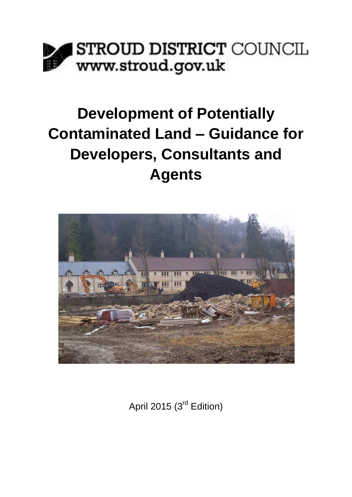

# **Development of Potentially Contaminated Land – Guidance for Developers, Consultants and Agents**



April 2015 (3<sup>rd</sup> Edition)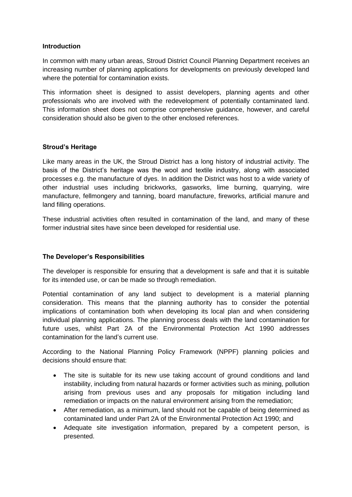## **Introduction**

In common with many urban areas, Stroud District Council Planning Department receives an increasing number of planning applications for developments on previously developed land where the potential for contamination exists.

This information sheet is designed to assist developers, planning agents and other professionals who are involved with the redevelopment of potentially contaminated land. This information sheet does not comprise comprehensive guidance, however, and careful consideration should also be given to the other enclosed references.

## **Stroud's Heritage**

Like many areas in the UK, the Stroud District has a long history of industrial activity. The basis of the District's heritage was the wool and textile industry, along with associated processes e.g. the manufacture of dyes. In addition the District was host to a wide variety of other industrial uses including brickworks, gasworks, lime burning, quarrying, wire manufacture, fellmongery and tanning, board manufacture, fireworks, artificial manure and land filling operations.

These industrial activities often resulted in contamination of the land, and many of these former industrial sites have since been developed for residential use.

### **The Developer's Responsibilities**

The developer is responsible for ensuring that a development is safe and that it is suitable for its intended use, or can be made so through remediation.

Potential contamination of any land subject to development is a material planning consideration. This means that the planning authority has to consider the potential implications of contamination both when developing its local plan and when considering individual planning applications. The planning process deals with the land contamination for future uses, whilst Part 2A of the Environmental Protection Act 1990 addresses contamination for the land's current use.

According to the National Planning Policy Framework (NPPF) planning policies and decisions should ensure that:

- The site is suitable for its new use taking account of ground conditions and land instability, including from natural hazards or former activities such as mining, pollution arising from previous uses and any proposals for mitigation including land remediation or impacts on the natural environment arising from the remediation;
- After remediation, as a minimum, land should not be capable of being determined as contaminated land under Part 2A of the Environmental Protection Act 1990; and
- Adequate site investigation information, prepared by a competent person, is presented.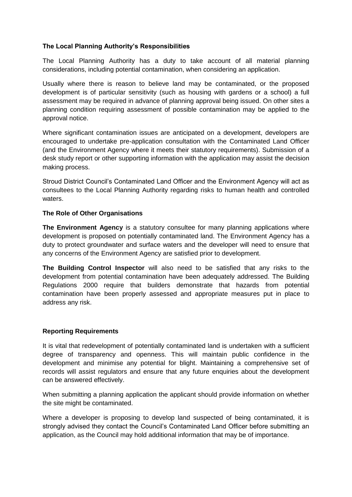# **The Local Planning Authority's Responsibilities**

The Local Planning Authority has a duty to take account of all material planning considerations, including potential contamination, when considering an application.

Usually where there is reason to believe land may be contaminated, or the proposed development is of particular sensitivity (such as housing with gardens or a school) a full assessment may be required in advance of planning approval being issued. On other sites a planning condition requiring assessment of possible contamination may be applied to the approval notice.

Where significant contamination issues are anticipated on a development, developers are encouraged to undertake pre-application consultation with the Contaminated Land Officer (and the Environment Agency where it meets their statutory requirements). Submission of a desk study report or other supporting information with the application may assist the decision making process.

Stroud District Council's Contaminated Land Officer and the Environment Agency will act as consultees to the Local Planning Authority regarding risks to human health and controlled waters.

### **The Role of Other Organisations**

**The Environment Agency** is a statutory consultee for many planning applications where development is proposed on potentially contaminated land. The Environment Agency has a duty to protect groundwater and surface waters and the developer will need to ensure that any concerns of the Environment Agency are satisfied prior to development.

**The Building Control Inspector** will also need to be satisfied that any risks to the development from potential contamination have been adequately addressed. The Building Regulations 2000 require that builders demonstrate that hazards from potential contamination have been properly assessed and appropriate measures put in place to address any risk.

### **Reporting Requirements**

It is vital that redevelopment of potentially contaminated land is undertaken with a sufficient degree of transparency and openness. This will maintain public confidence in the development and minimise any potential for blight. Maintaining a comprehensive set of records will assist regulators and ensure that any future enquiries about the development can be answered effectively.

When submitting a planning application the applicant should provide information on whether the site might be contaminated.

Where a developer is proposing to develop land suspected of being contaminated, it is strongly advised they contact the Council's Contaminated Land Officer before submitting an application, as the Council may hold additional information that may be of importance.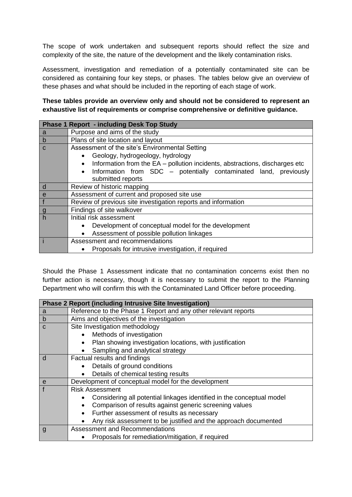The scope of work undertaken and subsequent reports should reflect the size and complexity of the site, the nature of the development and the likely contamination risks.

Assessment, investigation and remediation of a potentially contaminated site can be considered as containing four key steps, or phases. The tables below give an overview of these phases and what should be included in the reporting of each stage of work.

**These tables provide an overview only and should not be considered to represent an exhaustive list of requirements or comprise comprehensive or definitive guidance.**

| <b>Phase 1 Report - including Desk Top Study</b> |                                                                                          |  |  |  |
|--------------------------------------------------|------------------------------------------------------------------------------------------|--|--|--|
| a                                                | Purpose and aims of the study                                                            |  |  |  |
| $\mathsf b$                                      | Plans of site location and layout                                                        |  |  |  |
| C                                                | Assessment of the site's Environmental Setting                                           |  |  |  |
|                                                  | Geology, hydrogeology, hydrology                                                         |  |  |  |
|                                                  | Information from the EA - pollution incidents, abstractions, discharges etc<br>$\bullet$ |  |  |  |
|                                                  | Information from SDC – potentially contaminated land, previously                         |  |  |  |
|                                                  | submitted reports                                                                        |  |  |  |
| d                                                | Review of historic mapping                                                               |  |  |  |
| e                                                | Assessment of current and proposed site use                                              |  |  |  |
| $\mathsf{f}$                                     | Review of previous site investigation reports and information                            |  |  |  |
| g                                                | Findings of site walkover                                                                |  |  |  |
| $\overline{\mathbf{h}}$                          | Initial risk assessment                                                                  |  |  |  |
|                                                  | Development of conceptual model for the development<br>$\bullet$                         |  |  |  |
|                                                  | Assessment of possible pollution linkages                                                |  |  |  |
|                                                  | Assessment and recommendations                                                           |  |  |  |
|                                                  | Proposals for intrusive investigation, if required                                       |  |  |  |

Should the Phase 1 Assessment indicate that no contamination concerns exist then no further action is necessary, though it is necessary to submit the report to the Planning Department who will confirm this with the Contaminated Land Officer before proceeding.

| <b>Phase 2 Report (including Intrusive Site Investigation)</b> |                                                                       |  |  |
|----------------------------------------------------------------|-----------------------------------------------------------------------|--|--|
| a                                                              | Reference to the Phase 1 Report and any other relevant reports        |  |  |
| $\mathsf b$                                                    | Aims and objectives of the investigation                              |  |  |
| C                                                              | Site Investigation methodology                                        |  |  |
|                                                                | Methods of investigation                                              |  |  |
|                                                                | Plan showing investigation locations, with justification              |  |  |
|                                                                | Sampling and analytical strategy                                      |  |  |
| d                                                              | Factual results and findings                                          |  |  |
|                                                                | Details of ground conditions                                          |  |  |
|                                                                | Details of chemical testing results                                   |  |  |
| e                                                              | Development of conceptual model for the development                   |  |  |
|                                                                | <b>Risk Assessment</b>                                                |  |  |
|                                                                | Considering all potential linkages identified in the conceptual model |  |  |
|                                                                | Comparison of results against generic screening values                |  |  |
|                                                                | Further assessment of results as necessary                            |  |  |
|                                                                | Any risk assessment to be justified and the approach documented       |  |  |
| g                                                              | Assessment and Recommendations                                        |  |  |
|                                                                | Proposals for remediation/mitigation, if required                     |  |  |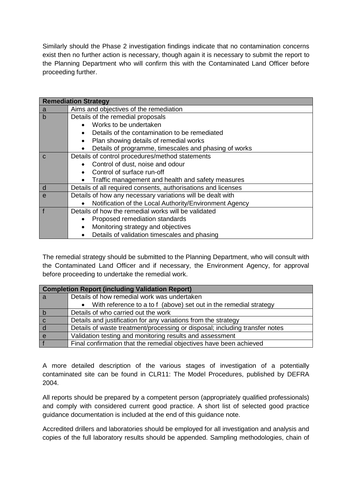Similarly should the Phase 2 investigation findings indicate that no contamination concerns exist then no further action is necessary, though again it is necessary to submit the report to the Planning Department who will confirm this with the Contaminated Land Officer before proceeding further.

| <b>Remediation Strategy</b> |                                                                     |  |  |
|-----------------------------|---------------------------------------------------------------------|--|--|
| a                           | Aims and objectives of the remediation                              |  |  |
| $\mathbf b$                 | Details of the remedial proposals                                   |  |  |
|                             | Works to be undertaken                                              |  |  |
|                             | Details of the contamination to be remediated                       |  |  |
|                             | Plan showing details of remedial works                              |  |  |
|                             | Details of programme, timescales and phasing of works               |  |  |
| $\mathsf{C}$                | Details of control procedures/method statements                     |  |  |
|                             | • Control of dust, noise and odour                                  |  |  |
|                             | Control of surface run-off                                          |  |  |
|                             | Traffic management and health and safety measures<br>$\bullet$      |  |  |
| d                           | Details of all required consents, authorisations and licenses       |  |  |
| $\mathbf{e}$                | Details of how any necessary variations will be dealt with          |  |  |
|                             | Notification of the Local Authority/Environment Agency<br>$\bullet$ |  |  |
| $\mathbf{f}$                | Details of how the remedial works will be validated                 |  |  |
|                             | Proposed remediation standards<br>$\bullet$                         |  |  |
|                             | Monitoring strategy and objectives<br>$\bullet$                     |  |  |
|                             | Details of validation timescales and phasing                        |  |  |

The remedial strategy should be submitted to the Planning Department, who will consult with the Contaminated Land Officer and if necessary, the Environment Agency, for approval before proceeding to undertake the remedial work.

| <b>Completion Report (including Validation Report)</b> |                                                                             |  |
|--------------------------------------------------------|-----------------------------------------------------------------------------|--|
| a                                                      | Details of how remedial work was undertaken                                 |  |
|                                                        | • With reference to a to f (above) set out in the remedial strategy         |  |
| b                                                      | Details of who carried out the work                                         |  |
| $\mathbf C$                                            | Details and justification for any variations from the strategy              |  |
|                                                        | Details of waste treatment/processing or disposal; including transfer notes |  |
| e                                                      | Validation testing and monitoring results and assessment                    |  |
|                                                        | Final confirmation that the remedial objectives have been achieved          |  |

A more detailed description of the various stages of investigation of a potentially contaminated site can be found in CLR11: The Model Procedures, published by DEFRA 2004.

All reports should be prepared by a competent person (appropriately qualified professionals) and comply with considered current good practice. A short list of selected good practice guidance documentation is included at the end of this guidance note.

Accredited drillers and laboratories should be employed for all investigation and analysis and copies of the full laboratory results should be appended. Sampling methodologies, chain of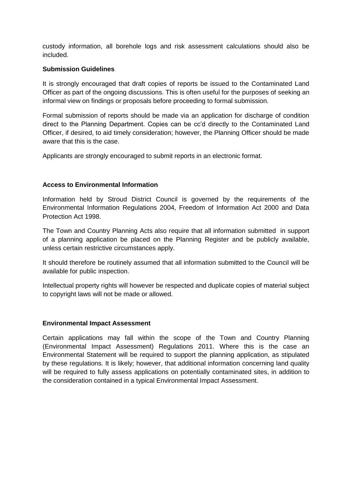custody information, all borehole logs and risk assessment calculations should also be included.

### **Submission Guidelines**

It is strongly encouraged that draft copies of reports be issued to the Contaminated Land Officer as part of the ongoing discussions. This is often useful for the purposes of seeking an informal view on findings or proposals before proceeding to formal submission.

Formal submission of reports should be made via an application for discharge of condition direct to the Planning Department. Copies can be cc'd directly to the Contaminated Land Officer, if desired, to aid timely consideration; however, the Planning Officer should be made aware that this is the case.

Applicants are strongly encouraged to submit reports in an electronic format.

#### **Access to Environmental Information**

Information held by Stroud District Council is governed by the requirements of the Environmental Information Regulations 2004, Freedom of Information Act 2000 and Data Protection Act 1998.

The Town and Country Planning Acts also require that all information submitted in support of a planning application be placed on the Planning Register and be publicly available, unless certain restrictive circumstances apply.

It should therefore be routinely assumed that all information submitted to the Council will be available for public inspection.

Intellectual property rights will however be respected and duplicate copies of material subject to copyright laws will not be made or allowed.

### **Environmental Impact Assessment**

Certain applications may fall within the scope of the Town and Country Planning (Environmental Impact Assessment) Regulations 2011. Where this is the case an Environmental Statement will be required to support the planning application, as stipulated by these regulations. It is likely; however, that additional information concerning land quality will be required to fully assess applications on potentially contaminated sites, in addition to the consideration contained in a typical Environmental Impact Assessment.